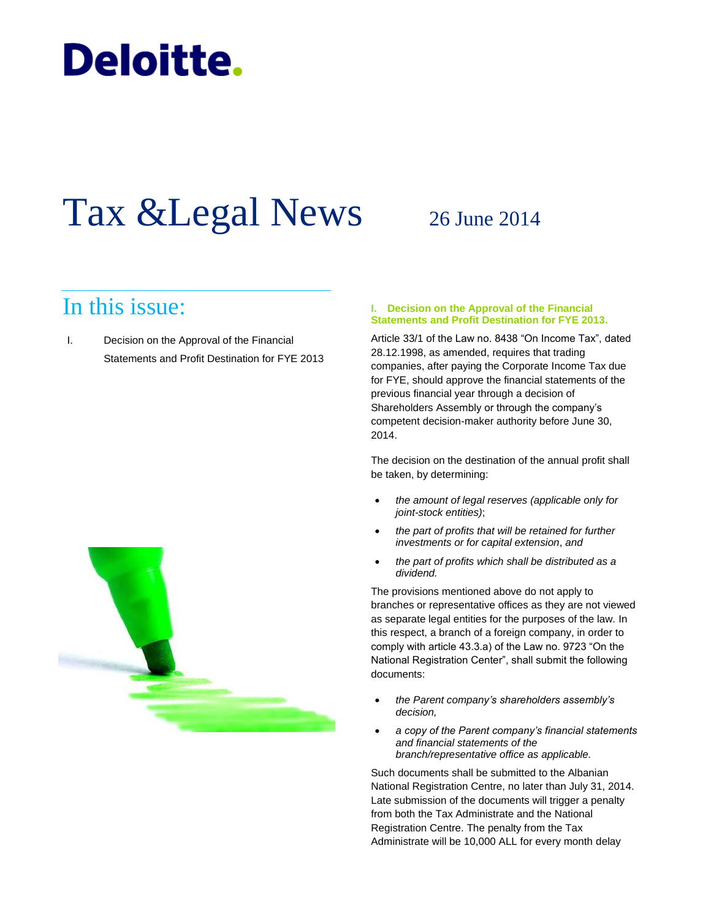# **Deloitte.**

## Tax & Legal News 26 June 2014

### In this issue:

I. Decision on the Approval of the Financial Statements and Profit Destination for FYE 2013

#### **I. Decision on the Approval of the Financial Statements and Profit Destination for FYE 2013.**

Article 33/1 of the Law no. 8438 "On Income Tax", dated 28.12.1998, as amended, requires that trading companies, after paying the Corporate Income Tax due for FYE, should approve the financial statements of the previous financial year through a decision of Shareholders Assembly or through the company's competent decision-maker authority before June 30, 2014.

The decision on the destination of the annual profit shall be taken, by determining:

- *the amount of legal reserves (applicable only for joint-stock entities)*;
- *the part of profits that will be retained for further investments or for capital extension*, *and*
- *the part of profits which shall be distributed as a dividend.*

The provisions mentioned above do not apply to branches or representative offices as they are not viewed as separate legal entities for the purposes of the law. In this respect, a branch of a foreign company, in order to comply with article 43.3.a) of the Law no. 9723 "On the National Registration Center", shall submit the following documents:

- *the Parent company's shareholders assembly's decision,*
- *a copy of the Parent company's financial statements and financial statements of the branch/representative office as applicable.*

Such documents shall be submitted to the Albanian National Registration Centre, no later than July 31, 2014. Late submission of the documents will trigger a penalty from both the Tax Administrate and the National Registration Centre. The penalty from the Tax Administrate will be 10,000 ALL for every month delay